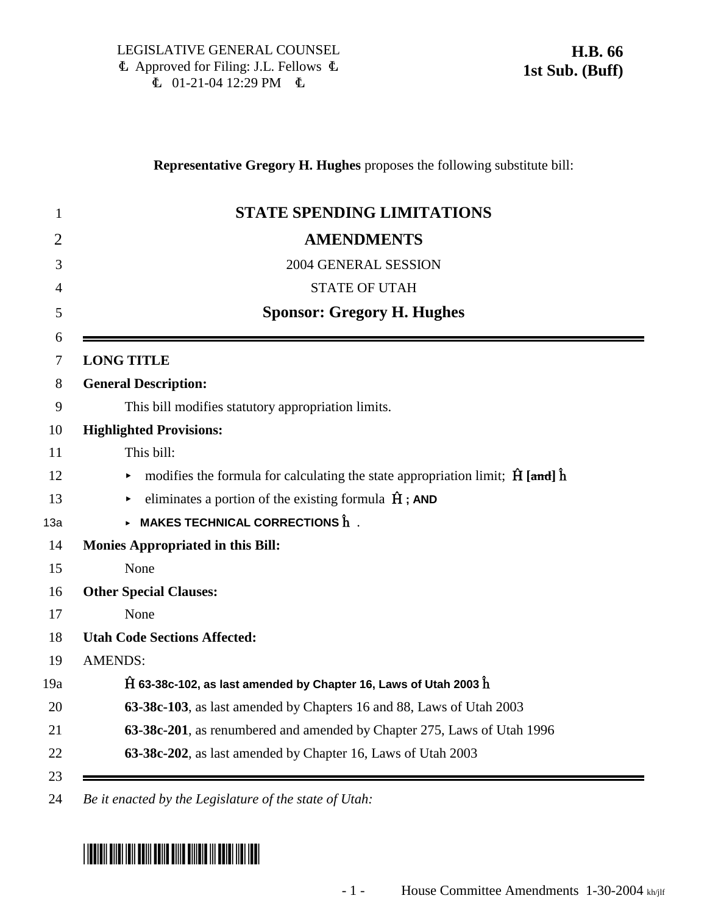### **Representative Gregory H. Hughes** proposes the following substitute bill:

| <b>STATE SPENDING LIMITATIONS</b>                                                                  |
|----------------------------------------------------------------------------------------------------|
| <b>AMENDMENTS</b>                                                                                  |
| 2004 GENERAL SESSION                                                                               |
| <b>STATE OF UTAH</b>                                                                               |
| <b>Sponsor: Gregory H. Hughes</b>                                                                  |
| <b>LONG TITLE</b>                                                                                  |
| <b>General Description:</b>                                                                        |
| This bill modifies statutory appropriation limits.                                                 |
| <b>Highlighted Provisions:</b>                                                                     |
| This bill:                                                                                         |
| modifies the formula for calculating the state appropriation limit; $\hat{H}$ [and] $\hat{h}$<br>▶ |
| eliminates a portion of the existing formula $\hat{H}$ ; AND<br>$\blacktriangleright$              |
| $\triangleright$ MAKES TECHNICAL CORRECTIONS $\mathbf{\hat{h}}$ .                                  |
| <b>Monies Appropriated in this Bill:</b>                                                           |
| None                                                                                               |
| <b>Other Special Clauses:</b>                                                                      |
| None                                                                                               |
| <b>Utah Code Sections Affected:</b>                                                                |
| <b>AMENDS:</b>                                                                                     |
| $\hat{H}$ 63-38c-102, as last amended by Chapter 16, Laws of Utah 2003 $\hat{h}$                   |
| 63-38c-103, as last amended by Chapters 16 and 88, Laws of Utah 2003                               |
| 63-38c-201, as renumbered and amended by Chapter 275, Laws of Utah 1996                            |
| 63-38c-202, as last amended by Chapter 16, Laws of Utah 2003                                       |

# \*HB0066S01\*

<sup>24</sup> *Be it enacted by the Legislature of the state of Utah:*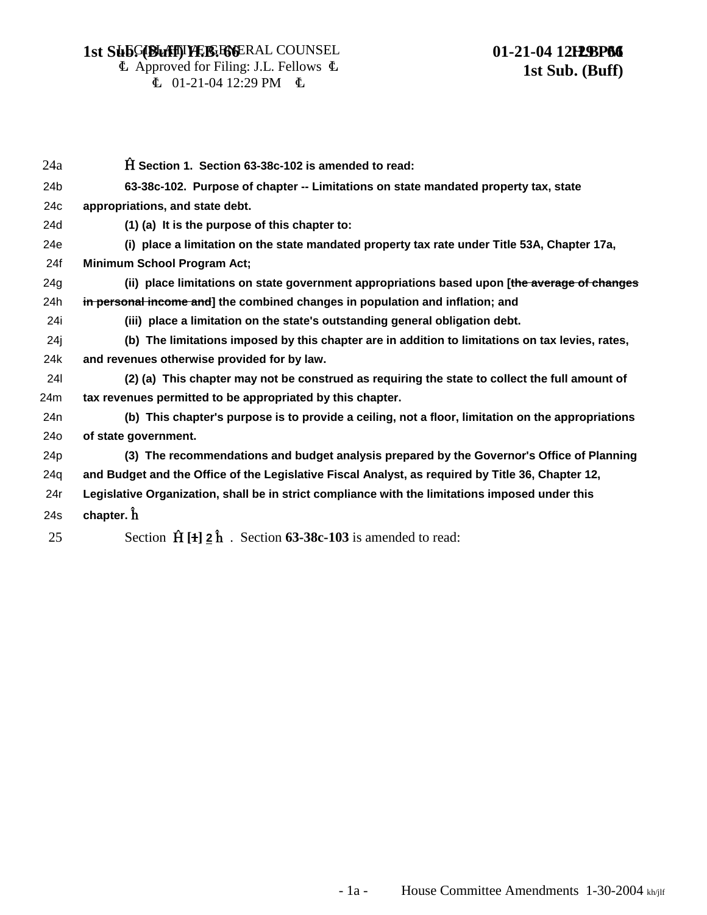#### **LEGIBLATIVE GEGGERAL COUNSEL 1st SubG(Buff) H.B. FGGERAL COUNSEL 61-21-04 12H2BP66**

## 01-21-04 12H2BP66 **1st Sub. (Buff)**

 $\Phi$  Approved for Filing: J.L. Fellows  $\Phi$  $\text{L}$  01-21-04 12:29 PM  $\text{L}$ 

| 24a             | $\hat{H}$ Section 1. Section 63-38c-102 is amended to read:                                       |
|-----------------|---------------------------------------------------------------------------------------------------|
| 24 <sub>b</sub> | 63-38c-102. Purpose of chapter -- Limitations on state mandated property tax, state               |
| 24 <sub>c</sub> | appropriations, and state debt.                                                                   |
| 24d             | $(1)$ (a) It is the purpose of this chapter to:                                                   |
| 24e             | (i) place a limitation on the state mandated property tax rate under Title 53A, Chapter 17a,      |
| 24f             | <b>Minimum School Program Act;</b>                                                                |
| 24g             | (ii) place limitations on state government appropriations based upon [the average of changes      |
| 24h             | in personal income and] the combined changes in population and inflation; and                     |
| 24i             | (iii) place a limitation on the state's outstanding general obligation debt.                      |
| 24j             | (b) The limitations imposed by this chapter are in addition to limitations on tax levies, rates,  |
| 24k             | and revenues otherwise provided for by law.                                                       |
| <b>24I</b>      | (2) (a) This chapter may not be construed as requiring the state to collect the full amount of    |
| 24m             | tax revenues permitted to be appropriated by this chapter.                                        |
| 24 <sub>n</sub> | (b) This chapter's purpose is to provide a ceiling, not a floor, limitation on the appropriations |
| 24 <sub>o</sub> | of state government.                                                                              |
| 24 <sub>p</sub> | (3) The recommendations and budget analysis prepared by the Governor's Office of Planning         |
| 24q             | and Budget and the Office of the Legislative Fiscal Analyst, as required by Title 36, Chapter 12, |
| 24r             | Legislative Organization, shall be in strict compliance with the limitations imposed under this   |
| 24s             | chapter. $\mathbf{\hat{h}}$                                                                       |
| 25              | Section $\hat{H}[\hat{H}]\hat{2}\hat{h}$ . Section 63-38c-103 is amended to read:                 |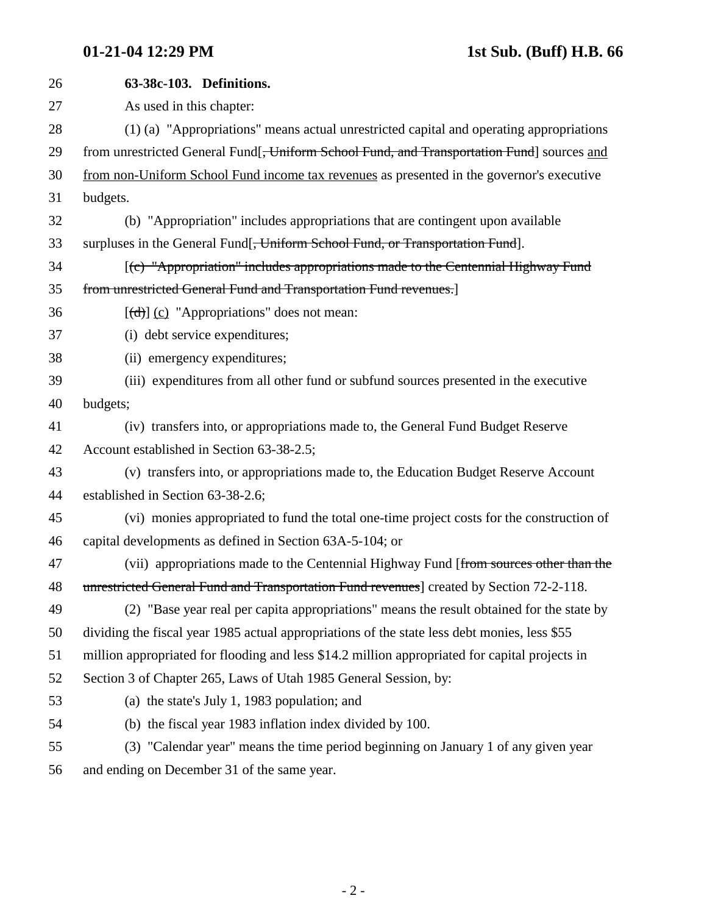| 26 | 63-38c-103. Definitions.                                                                                                                                                                                                                                                                                                                                                                                                                                                                   |
|----|--------------------------------------------------------------------------------------------------------------------------------------------------------------------------------------------------------------------------------------------------------------------------------------------------------------------------------------------------------------------------------------------------------------------------------------------------------------------------------------------|
| 27 | As used in this chapter:                                                                                                                                                                                                                                                                                                                                                                                                                                                                   |
| 28 | (1) (a) "Appropriations" means actual unrestricted capital and operating appropriations                                                                                                                                                                                                                                                                                                                                                                                                    |
| 29 | from unrestricted General Fund <sup>[</sup> , Uniform School Fund, and Transportation Fund] sources and                                                                                                                                                                                                                                                                                                                                                                                    |
| 30 | from non-Uniform School Fund income tax revenues as presented in the governor's executive                                                                                                                                                                                                                                                                                                                                                                                                  |
| 31 | budgets.                                                                                                                                                                                                                                                                                                                                                                                                                                                                                   |
| 32 | (b) "Appropriation" includes appropriations that are contingent upon available                                                                                                                                                                                                                                                                                                                                                                                                             |
| 33 | surpluses in the General Fund[ <del>, Uniform School Fund, or Transportation Fund</del> ].                                                                                                                                                                                                                                                                                                                                                                                                 |
| 34 | [(c) "Appropriation" includes appropriations made to the Centennial Highway Fund                                                                                                                                                                                                                                                                                                                                                                                                           |
| 35 | from unrestricted General Fund and Transportation Fund revenues.]                                                                                                                                                                                                                                                                                                                                                                                                                          |
| 36 | $[\text{d} \cdot \text{d} \cdot \text{d} \cdot \text{d} \cdot \text{d} \cdot \text{d} \cdot \text{d} \cdot \text{d} \cdot \text{d} \cdot \text{d} \cdot \text{d} \cdot \text{d} \cdot \text{d} \cdot \text{d} \cdot \text{d} \cdot \text{d} \cdot \text{d} \cdot \text{d} \cdot \text{d} \cdot \text{d} \cdot \text{d} \cdot \text{d} \cdot \text{d} \cdot \text{d} \cdot \text{d} \cdot \text{d} \cdot \text{d} \cdot \text{d} \cdot \text{d} \cdot \text{d} \cdot \text{d} \cdot \text{$ |
| 37 | (i) debt service expenditures;                                                                                                                                                                                                                                                                                                                                                                                                                                                             |
| 38 | (ii) emergency expenditures;                                                                                                                                                                                                                                                                                                                                                                                                                                                               |
| 39 | (iii) expenditures from all other fund or subfund sources presented in the executive                                                                                                                                                                                                                                                                                                                                                                                                       |
| 40 | budgets;                                                                                                                                                                                                                                                                                                                                                                                                                                                                                   |
| 41 | (iv) transfers into, or appropriations made to, the General Fund Budget Reserve                                                                                                                                                                                                                                                                                                                                                                                                            |
| 42 | Account established in Section 63-38-2.5;                                                                                                                                                                                                                                                                                                                                                                                                                                                  |
| 43 | (v) transfers into, or appropriations made to, the Education Budget Reserve Account                                                                                                                                                                                                                                                                                                                                                                                                        |
| 44 | established in Section 63-38-2.6;                                                                                                                                                                                                                                                                                                                                                                                                                                                          |
| 45 | (vi) monies appropriated to fund the total one-time project costs for the construction of                                                                                                                                                                                                                                                                                                                                                                                                  |
| 46 | capital developments as defined in Section 63A-5-104; or                                                                                                                                                                                                                                                                                                                                                                                                                                   |
| 47 | (vii) appropriations made to the Centennial Highway Fund [from sources other than the                                                                                                                                                                                                                                                                                                                                                                                                      |
| 48 | unrestricted General Fund and Transportation Fund revenues] created by Section 72-2-118.                                                                                                                                                                                                                                                                                                                                                                                                   |
| 49 | (2) "Base year real per capita appropriations" means the result obtained for the state by                                                                                                                                                                                                                                                                                                                                                                                                  |
| 50 | dividing the fiscal year 1985 actual appropriations of the state less debt monies, less \$55                                                                                                                                                                                                                                                                                                                                                                                               |
| 51 | million appropriated for flooding and less \$14.2 million appropriated for capital projects in                                                                                                                                                                                                                                                                                                                                                                                             |
| 52 | Section 3 of Chapter 265, Laws of Utah 1985 General Session, by:                                                                                                                                                                                                                                                                                                                                                                                                                           |
| 53 | (a) the state's July 1, 1983 population; and                                                                                                                                                                                                                                                                                                                                                                                                                                               |
| 54 | (b) the fiscal year 1983 inflation index divided by 100.                                                                                                                                                                                                                                                                                                                                                                                                                                   |
| 55 | (3) "Calendar year" means the time period beginning on January 1 of any given year                                                                                                                                                                                                                                                                                                                                                                                                         |
|    |                                                                                                                                                                                                                                                                                                                                                                                                                                                                                            |

56 and ending on December 31 of the same year.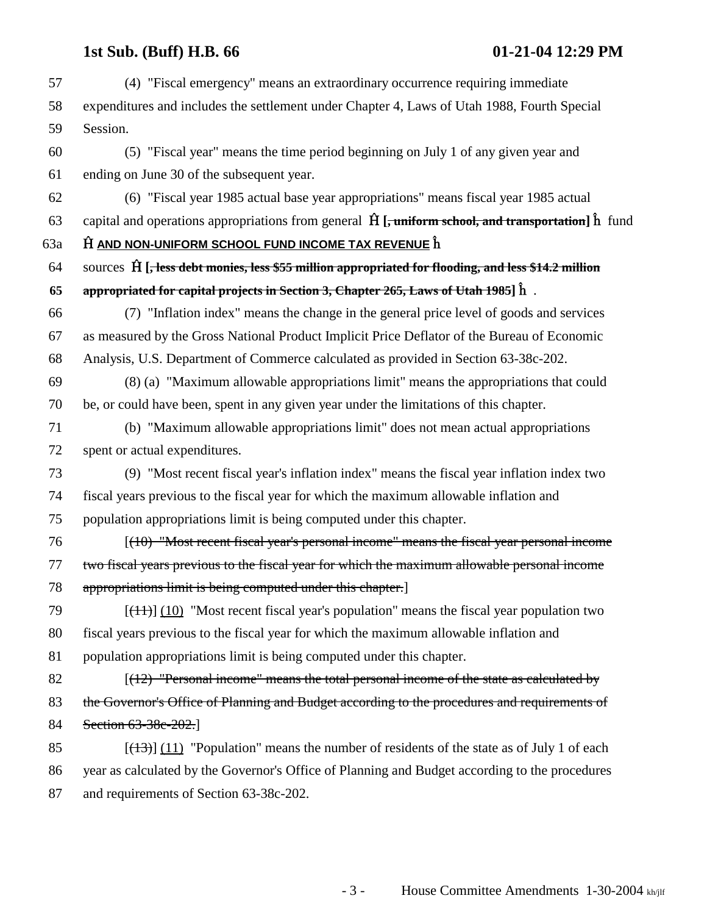# **1st Sub. (Buff) H.B. 66 01-21-04 12:29 PM**

| 57  | (4) "Fiscal emergency" means an extraordinary occurrence requiring immediate                                       |
|-----|--------------------------------------------------------------------------------------------------------------------|
| 58  | expenditures and includes the settlement under Chapter 4, Laws of Utah 1988, Fourth Special                        |
| 59  | Session.                                                                                                           |
| 60  | (5) "Fiscal year" means the time period beginning on July 1 of any given year and                                  |
| 61  | ending on June 30 of the subsequent year.                                                                          |
| 62  | (6) "Fiscal year 1985 actual base year appropriations" means fiscal year 1985 actual                               |
| 63  | capital and operations appropriations from general $\hat{H}$ [, uniform school, and transportation] $\hat{h}$ fund |
| 63a | $\hat{H}$ AND NON-UNIFORM SCHOOL FUND INCOME TAX REVENUE $\hat{h}$                                                 |
| 64  | sources $\hat{H}$ [, less debt monies, less \$55 million appropriated for flooding, and less \$14.2 million        |
| 65  | appropriated for capital projects in Section 3, Chapter 265, Laws of Utah 1985] $\hat{h}$ .                        |
| 66  | (7) "Inflation index" means the change in the general price level of goods and services                            |
| 67  | as measured by the Gross National Product Implicit Price Deflator of the Bureau of Economic                        |
| 68  | Analysis, U.S. Department of Commerce calculated as provided in Section 63-38c-202.                                |
| 69  | (8) (a) "Maximum allowable appropriations limit" means the appropriations that could                               |
| 70  | be, or could have been, spent in any given year under the limitations of this chapter.                             |
| 71  | (b) "Maximum allowable appropriations limit" does not mean actual appropriations                                   |
| 72  | spent or actual expenditures.                                                                                      |
| 73  | (9) "Most recent fiscal year's inflation index" means the fiscal year inflation index two                          |
| 74  | fiscal years previous to the fiscal year for which the maximum allowable inflation and                             |
| 75  | population appropriations limit is being computed under this chapter.                                              |
| 76  | $[(10)$ "Most recent fiscal year's personal income" means the fiscal year personal income                          |
| 77  | two fiscal years previous to the fiscal year for which the maximum allowable personal income                       |
| 78  | appropriations limit is being computed under this chapter.]                                                        |
| 79  | $[\frac{(11)}{(10)}]$ "Most recent fiscal year's population" means the fiscal year population two                  |
| 80  | fiscal years previous to the fiscal year for which the maximum allowable inflation and                             |
| 81  | population appropriations limit is being computed under this chapter.                                              |
| 82  | $[(12)$ "Personal income" means the total personal income of the state as calculated by                            |
| 83  | the Governor's Office of Planning and Budget according to the procedures and requirements of                       |
| 84  | Section 63-38c-202.]                                                                                               |
| 85  | $[(13)]$ (11) "Population" means the number of residents of the state as of July 1 of each                         |
| 86  | year as calculated by the Governor's Office of Planning and Budget according to the procedures                     |
| 87  | and requirements of Section 63-38c-202.                                                                            |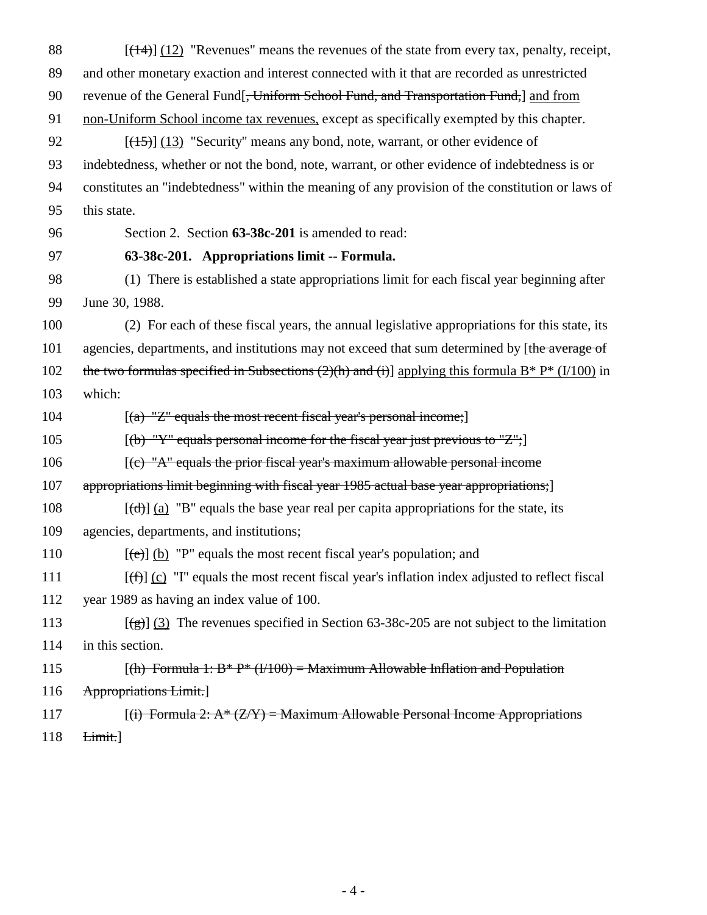88  $[(14)] (12)$  "Revenues" means the revenues of the state from every tax, penalty, receipt, 89 and other monetary exaction and interest connected with it that are recorded as unrestricted 90 revenue of the General Fund, Uniform School Fund, and Transportation Fund, and from 91 non-Uniform School income tax revenues, except as specifically exempted by this chapter. 92  $[(15)]$  (13) "Security" means any bond, note, warrant, or other evidence of 93 indebtedness, whether or not the bond, note, warrant, or other evidence of indebtedness is or 94 constitutes an "indebtedness" within the meaning of any provision of the constitution or laws of 95 this state. 96 Section 2. Section **63-38c-201** is amended to read: 97 **63-38c-201. Appropriations limit -- Formula.** 98 (1) There is established a state appropriations limit for each fiscal year beginning after 99 June 30, 1988. 100 (2) For each of these fiscal years, the annual legislative appropriations for this state, its 101 agencies, departments, and institutions may not exceed that sum determined by [the average of 102 the two formulas specified in Subsections  $(2)(h)$  and  $(i)$ ] applying this formula B\* P\* (I/100) in 103 which: 104  $[(a) "Z" equals the most recent fiscal year's personal income;]$ 105  $[(b) "Y" equals personal income for the fiscal year just previous to "Z";]$  $106$  [(c) "A" equals the prior fiscal year's maximum allowable personal income 107 appropriations limit beginning with fiscal year 1985 actual base year appropriations; 108  $[(d)] (a)$  "B" equals the base year real per capita appropriations for the state, its 109 agencies, departments, and institutions; 110  $[(e)] (b)$  "P" equals the most recent fiscal year's population; and 111  $[(f)] (c)$  "I" equals the most recent fiscal year's inflation index adjusted to reflect fiscal 112 year 1989 as having an index value of 100. 113  $[(g)] (3)$  The revenues specified in Section 63-38c-205 are not subject to the limitation 114 in this section. 115 *(h) Formula 1: B\* P\* (I/100) = Maximum Allowable Inflation and Population* 116 Appropriations Limit.] 117 *(i) Formula 2: A\* (Z/Y) = Maximum Allowable Personal Income Appropriations* 118 Limit.]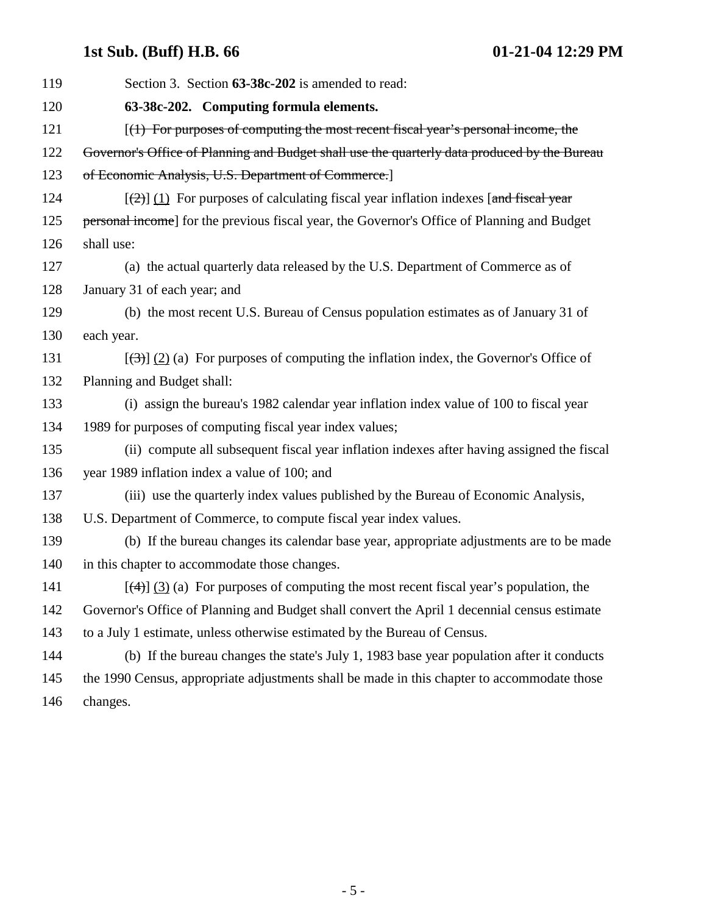# **1st Sub. (Buff) H.B. 66 01-21-04 12:29 PM**

| 119 | Section 3. Section 63-38c-202 is amended to read:                                               |
|-----|-------------------------------------------------------------------------------------------------|
| 120 | 63-38c-202. Computing formula elements.                                                         |
| 121 | $[(1)$ For purposes of computing the most recent fiscal year's personal income, the             |
| 122 | Governor's Office of Planning and Budget shall use the quarterly data produced by the Bureau    |
| 123 | of Economic Analysis, U.S. Department of Commerce.]                                             |
| 124 | $[\frac{1}{2}]$ (1) For purposes of calculating fiscal year inflation indexes [and fiscal year  |
| 125 | personal income] for the previous fiscal year, the Governor's Office of Planning and Budget     |
| 126 | shall use:                                                                                      |
| 127 | (a) the actual quarterly data released by the U.S. Department of Commerce as of                 |
| 128 | January 31 of each year; and                                                                    |
| 129 | (b) the most recent U.S. Bureau of Census population estimates as of January 31 of              |
| 130 | each year.                                                                                      |
| 131 | $[\frac{1}{2}]$ (2) (a) For purposes of computing the inflation index, the Governor's Office of |
| 132 | Planning and Budget shall:                                                                      |
| 133 | (i) assign the bureau's 1982 calendar year inflation index value of 100 to fiscal year          |
| 134 | 1989 for purposes of computing fiscal year index values;                                        |
| 135 | (ii) compute all subsequent fiscal year inflation indexes after having assigned the fiscal      |
| 136 | year 1989 inflation index a value of 100; and                                                   |
| 137 | (iii) use the quarterly index values published by the Bureau of Economic Analysis,              |
| 138 | U.S. Department of Commerce, to compute fiscal year index values.                               |
| 139 | (b) If the bureau changes its calendar base year, appropriate adjustments are to be made        |
| 140 | in this chapter to accommodate those changes.                                                   |
| 141 | $[\frac{4}{3}]$ (3) (a) For purposes of computing the most recent fiscal year's population, the |
| 142 | Governor's Office of Planning and Budget shall convert the April 1 decennial census estimate    |
| 143 | to a July 1 estimate, unless otherwise estimated by the Bureau of Census.                       |
| 144 | (b) If the bureau changes the state's July 1, 1983 base year population after it conducts       |
| 145 | the 1990 Census, appropriate adjustments shall be made in this chapter to accommodate those     |
| 146 | changes.                                                                                        |